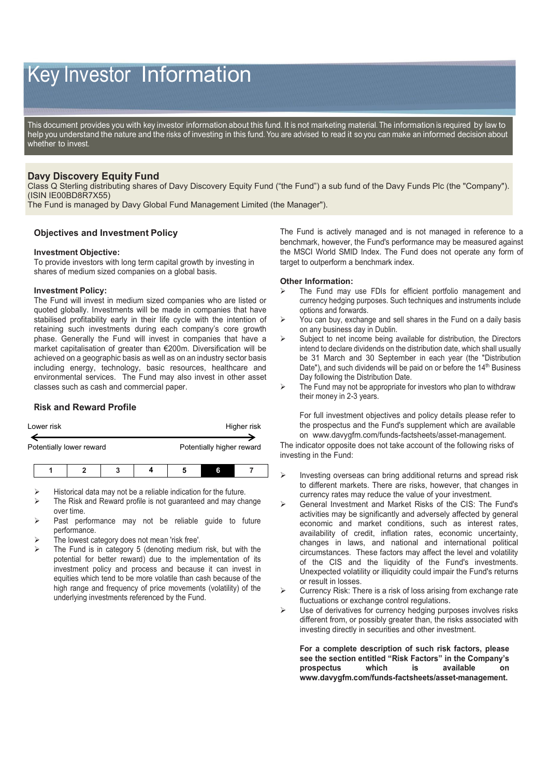# Key Investor Information

This document provides you with key investor information about this fund. It is not marketing material. The information is required by law to help you understand the nature and the risks of investing in this fund. You are advised to read it so you can make an informed decision about whether to invest.

## **Davy Discovery Equity Fund**

Class Q Sterling distributing shares of Davy Discovery Equity Fund ("the Fund") a sub fund of the Davy Funds Plc (the "Company"). (ISIN IE00BD8R7X55)

The Fund is managed by Davy Global Fund Management Limited (the Manager").

## **Objectives and Investment Policy**

### **Investment Objective:**

To provide investors with long term capital growth by investing in shares of medium sized companies on a global basis.

### **Investment Policy:**

The Fund will invest in medium sized companies who are listed or quoted globally. Investments will be made in companies that have stabilised profitability early in their life cycle with the intention of retaining such investments during each company's core growth phase. Generally the Fund will invest in companies that have a market capitalisation of greater than €200m. Diversification will be achieved on a geographic basis as well as on an industry sector basis including energy, technology, basic resources, healthcare and environmental services. The Fund may also invest in other asset classes such as cash and commercial paper.

## **Risk and Reward Profile**

| Lower risk               | Higher risk               |  |
|--------------------------|---------------------------|--|
| Potentially lower reward | Potentially higher reward |  |

|--|

- Historical data may not be a reliable indication for the future.
- The Risk and Reward profile is not guaranteed and may change over time.
- Past performance may not be reliable guide to future performance.
- The lowest category does not mean 'risk free'.
- The Fund is in category 5 (denoting medium risk, but with the potential for better reward) due to the implementation of its investment policy and process and because it can invest in equities which tend to be more volatile than cash because of the high range and frequency of price movements (volatility) of the underlying investments referenced by the Fund.

The Fund is actively managed and is not managed in reference to a benchmark, however, the Fund's performance may be measured against the MSCI World SMID Index. The Fund does not operate any form of target to outperform a benchmark index.

### **Other Information:**

- The Fund may use FDIs for efficient portfolio management and currency hedging purposes. Such techniques and instruments include options and forwards.
- You can buy, exchange and sell shares in the Fund on a daily basis on any business day in Dublin.
- Subject to net income being available for distribution, the Directors intend to declare dividends on the distribution date, which shall usually be 31 March and 30 September in each year (the "Distribution Date"), and such dividends will be paid on or before the 14<sup>th</sup> Business Day following the Distribution Date.
- The Fund may not be appropriate for investors who plan to withdraw their money in 2-3 years.

For full investment objectives and policy details please refer to the prospectus and the Fund's supplement which are available on www.davygfm.com/funds-factsheets/asset-management.

The indicator opposite does not take account of the following risks of investing in the Fund:

- Investing overseas can bring additional returns and spread risk to different markets. There are risks, however, that changes in currency rates may reduce the value of your investment.
- General Investment and Market Risks of the CIS: The Fund's activities may be significantly and adversely affected by general economic and market conditions, such as interest rates, availability of credit, inflation rates, economic uncertainty, changes in laws, and national and international political circumstances. These factors may affect the level and volatility of the CIS and the liquidity of the Fund's investments. Unexpected volatility or illiquidity could impair the Fund's returns or result in losses.
- Currency Risk: There is a risk of loss arising from exchange rate fluctuations or exchange control regulations.
- Use of derivatives for currency hedging purposes involves risks different from, or possibly greater than, the risks associated with investing directly in securities and other investment.

**For a complete description of such risk factors, please see the section entitled "Risk Factors" in the Company's prospectus which is available on www.davygfm.com/funds-factsheets/asset-management.**